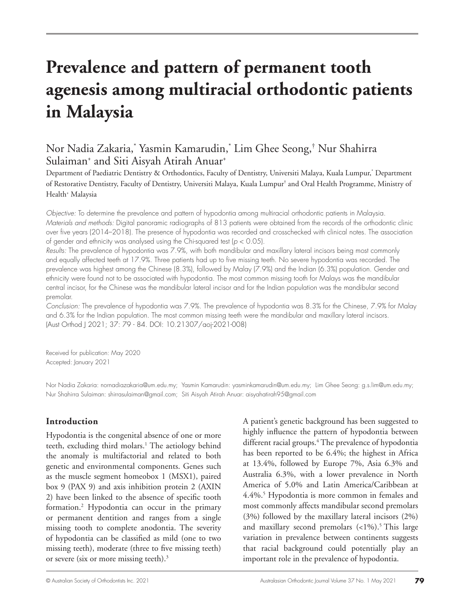# **Prevalence and pattern of permanent tooth agenesis among multiracial orthodontic patients in Malaysia**

# Nor Nadia Zakaria,\* Yasmin Kamarudin,\* Lim Ghee Seong,† Nur Shahirra Sulaiman<sup>+</sup> and Siti Aisyah Atirah Anuar<sup>+</sup>

Department of Paediatric Dentistry & Orthodontics, Faculty of Dentistry, Universiti Malaya, Kuala Lumpur,\* Department of Restorative Dentistry, Faculty of Dentistry, Universiti Malaya, Kuala Lumpur† and Oral Health Programme, Ministry of Health+ Malaysia

*Objective:* To determine the prevalence and pattern of hypodontia among multiracial orthodontic patients in Malaysia. *Materials and methods:* Digital panoramic radiographs of 813 patients were obtained from the records of the orthodontic clinic over five years (2014–2018). The presence of hypodontia was recorded and crosschecked with clinical notes. The association of gender and ethnicity was analysed using the Chi-squared test (*p* < 0.05).

*Results:* The prevalence of hypodontia was 7.9%, with both mandibular and maxillary lateral incisors being most commonly and equally affected teeth at 17.9%. Three patients had up to five missing teeth. No severe hypodontia was recorded. The prevalence was highest among the Chinese (8.3%), followed by Malay (7.9%) and the Indian (6.3%) population. Gender and ethnicity were found not to be associated with hypodontia. The most common missing tooth for Malays was the mandibular central incisor, for the Chinese was the mandibular lateral incisor and for the Indian population was the mandibular second premolar.

*Conclusion:* The prevalence of hypodontia was 7.9%. The prevalence of hypodontia was 8.3% for the Chinese, 7.9% for Malay and 6.3% for the Indian population. The most common missing teeth were the mandibular and maxillary lateral incisors. (Aust Orthod J 2021; 37: 79 - 84. DOI: 10.21307/aoj-2021-008)

Received for publication: May 2020 Accepted: January 2021

Nor Nadia Zakaria: nornadiazakaria@um.edu.my; Yasmin Kamarudin: yasminkamarudin@um.edu.my; Lim Ghee Seong: g.s.lim@um.edu.my; Nur Shahirra Sulaiman: shirrasulaiman@gmail.com; Siti Aisyah Atirah Anuar: aisyahatirah95@gmail.com

# **Introduction**

Hypodontia is the congenital absence of one or more teeth, excluding third molars.<sup>1</sup> The aetiology behind the anomaly is multifactorial and related to both genetic and environmental components. Genes such as the muscle segment homeobox 1 (MSX1), paired box 9 (PAX 9) and axis inhibition protein 2 (AXIN 2) have been linked to the absence of specific tooth formation.2 Hypodontia can occur in the primary or permanent dentition and ranges from a single missing tooth to complete anodontia. The severity of hypodontia can be classified as mild (one to two missing teeth), moderate (three to five missing teeth) or severe (six or more missing teeth).3

A patient's genetic background has been suggested to highly influence the pattern of hypodontia between different racial groups.<sup>4</sup> The prevalence of hypodontia has been reported to be 6.4%; the highest in Africa at 13.4%, followed by Europe 7%, Asia 6.3% and Australia 6.3%, with a lower prevalence in North America of 5.0% and Latin America/Caribbean at 4.4%.<sup>5</sup> Hypodontia is more common in females and most commonly affects mandibular second premolars (3%) followed by the maxillary lateral incisors (2%) and maxillary second premolars  $\left($  <1%).<sup>5</sup> This large variation in prevalence between continents suggests that racial background could potentially play an important role in the prevalence of hypodontia.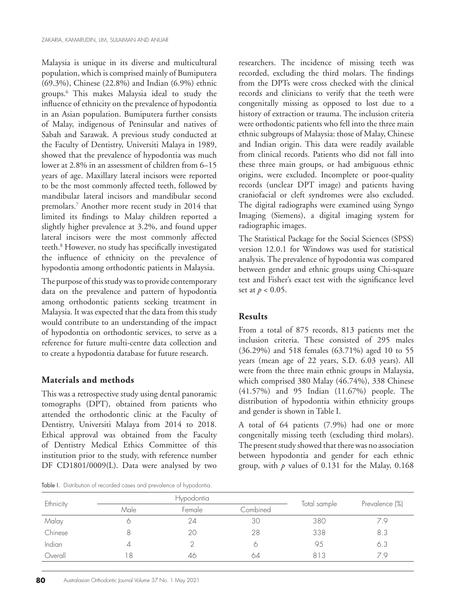Malaysia is unique in its diverse and multicultural population, which is comprised mainly of Bumiputera (69.3%), Chinese (22.8%) and Indian (6.9%) ethnic groups.6 This makes Malaysia ideal to study the influence of ethnicity on the prevalence of hypodontia in an Asian population. Bumiputera further consists of Malay, indigenous of Peninsular and natives of Sabah and Sarawak. A previous study conducted at the Faculty of Dentistry, Universiti Malaya in 1989, showed that the prevalence of hypodontia was much lower at 2.8% in an assessment of children from 6–15 years of age. Maxillary lateral incisors were reported to be the most commonly affected teeth, followed by mandibular lateral incisors and mandibular second premolars.7 Another more recent study in 2014 that limited its findings to Malay children reported a slightly higher prevalence at 3.2%, and found upper lateral incisors were the most commonly affected teeth.8 However, no study has specifically investigated the influence of ethnicity on the prevalence of hypodontia among orthodontic patients in Malaysia.

The purpose of this study was to provide contemporary data on the prevalence and pattern of hypodontia among orthodontic patients seeking treatment in Malaysia. It was expected that the data from this study would contribute to an understanding of the impact of hypodontia on orthodontic services, to serve as a reference for future multi-centre data collection and to create a hypodontia database for future research.

### **Materials and methods**

This was a retrospective study using dental panoramic tomographs (DPT), obtained from patients who attended the orthodontic clinic at the Faculty of Dentistry, Universiti Malaya from 2014 to 2018. Ethical approval was obtained from the Faculty of Dentistry Medical Ethics Committee of this institution prior to the study, with reference number DF CD1801/0009(L). Data were analysed by two

Table I. Distribution of recorded cases and prevalence of hypodontia.

researchers. The incidence of missing teeth was recorded, excluding the third molars. The findings from the DPTs were cross checked with the clinical records and clinicians to verify that the teeth were congenitally missing as opposed to lost due to a history of extraction or trauma. The inclusion criteria were orthodontic patients who fell into the three main ethnic subgroups of Malaysia: those of Malay, Chinese and Indian origin. This data were readily available from clinical records. Patients who did not fall into these three main groups, or had ambiguous ethnic origins, were excluded. Incomplete or poor-quality records (unclear DPT image) and patients having craniofacial or cleft syndromes were also excluded. The digital radiographs were examined using Syngo Imaging (Siemens), a digital imaging system for radiographic images.

The Statistical Package for the Social Sciences (SPSS) version 12.0.1 for Windows was used for statistical analysis. The prevalence of hypodontia was compared between gender and ethnic groups using Chi-square test and Fisher's exact test with the significance level set at *p* < 0.05.

### **Results**

From a total of 875 records, 813 patients met the inclusion criteria. These consisted of 295 males (36.29%) and 518 females (63.71%) aged 10 to 55 years (mean age of 22 years, S.D. 6.03 years). All were from the three main ethnic groups in Malaysia, which comprised 380 Malay (46.74%), 338 Chinese (41.57%) and 95 Indian (11.67%) people. The distribution of hypodontia within ethnicity groups and gender is shown in Table I.

A total of 64 patients (7.9%) had one or more congenitally missing teeth (excluding third molars). The present study showed that there was no association between hypodontia and gender for each ethnic group, with *p* values of 0.131 for the Malay, 0.168

| Ethnicity |      | Hypodontia |          |              |                |
|-----------|------|------------|----------|--------------|----------------|
|           | Male | Female     | Combined | Total sample | Prevalence (%) |
| Malay     |      | 24         | 30       | 380          | 7.9            |
| Chinese   |      | 20         | 28       | 338          | 8.3            |
| Indian    |      |            |          | 95           | 6.3            |
| Overall   | 8    | 46         | 64       | 813          | 79             |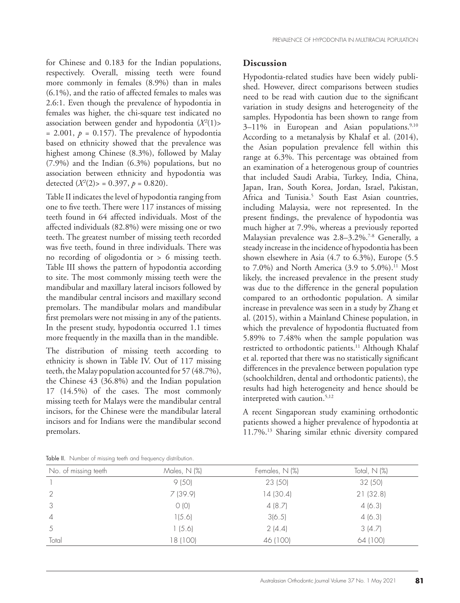for Chinese and 0.183 for the Indian populations, respectively. Overall, missing teeth were found more commonly in females (8.9%) than in males (6.1%), and the ratio of affected females to males was 2.6:1. Even though the prevalence of hypodontia in females was higher, the chi-square test indicated no association between gender and hypodontia (*Χ<sup>2</sup>* (1)>  $= 2.001$ ,  $p = 0.157$ ). The prevalence of hypodontia based on ethnicity showed that the prevalence was highest among Chinese (8.3%), followed by Malay (7.9%) and the Indian (6.3%) populations, but no association between ethnicity and hypodontia was detected  $(X^2(2))$  = 0.397,  $p = 0.820$ ).

Table II indicates the level of hypodontia ranging from one to five teeth. There were 117 instances of missing teeth found in 64 affected individuals. Most of the affected individuals (82.8%) were missing one or two teeth. The greatest number of missing teeth recorded was five teeth, found in three individuals. There was no recording of oligodontia or > 6 missing teeth. Table III shows the pattern of hypodontia according to site. The most commonly missing teeth were the mandibular and maxillary lateral incisors followed by the mandibular central incisors and maxillary second premolars. The mandibular molars and mandibular first premolars were not missing in any of the patients. In the present study, hypodontia occurred 1.1 times more frequently in the maxilla than in the mandible.

The distribution of missing teeth according to ethnicity is shown in Table IV. Out of 117 missing teeth, the Malay population accounted for 57 (48.7%), the Chinese 43 (36.8%) and the Indian population 17 (14.5%) of the cases. The most commonly missing teeth for Malays were the mandibular central incisors, for the Chinese were the mandibular lateral incisors and for Indians were the mandibular second premolars.

#### **Discussion**

Hypodontia-related studies have been widely published. However, direct comparisons between studies need to be read with caution due to the significant variation in study designs and heterogeneity of the samples. Hypodontia has been shown to range from  $3-11\%$  in European and Asian populations.<sup>9,10</sup> According to a metanalysis by Khalaf et al. (2014), the Asian population prevalence fell within this range at 6.3%. This percentage was obtained from an examination of a heterogenous group of countries that included Saudi Arabia, Turkey, India, China, Japan, Iran, South Korea, Jordan, Israel, Pakistan, Africa and Tunisia.<sup>5</sup> South East Asian countries, including Malaysia, were not represented. In the present findings, the prevalence of hypodontia was much higher at 7.9%, whereas a previously reported Malaysian prevalence was 2.8-3.2%.<sup>7-8</sup> Generally, a steady increase in the incidence of hypodontia has been shown elsewhere in Asia (4.7 to 6.3%), Europe (5.5 to  $7.0\%$ ) and North America (3.9 to  $5.0\%$ ).<sup>11</sup> Most likely, the increased prevalence in the present study was due to the difference in the general population compared to an orthodontic population. A similar increase in prevalence was seen in a study by Zhang et al. (2015), within a Mainland Chinese population, in which the prevalence of hypodontia fluctuated from 5.89% to 7.48% when the sample population was restricted to orthodontic patients.<sup>11</sup> Although Khalaf et al. reported that there was no statistically significant differences in the prevalence between population type (schoolchildren, dental and orthodontic patients), the results had high heterogeneity and hence should be interpreted with caution.<sup>5,12</sup>

A recent Singaporean study examining orthodontic patients showed a higher prevalence of hypodontia at 11.7%.13 Sharing similar ethnic diversity compared

| No. of missing teeth | Males, N (%) | Females, N (%) | Total, $N$ (%) |  |  |
|----------------------|--------------|----------------|----------------|--|--|
|                      | 9(50)        | 23 (50)        | 32(50)         |  |  |
|                      | 7(39.9)      | 14(30.4)       | 21(32.8)       |  |  |
| 3                    | O(0)         | 4(8.7)         | 4(6.3)         |  |  |
| $\overline{4}$       | 1(5.6)       | 3(6.5)         | 4(6.3)         |  |  |
| 5                    | 1(5.6)       | 2(4.4)         | 3(4.7)         |  |  |
| Total                | 18 (100)     | 46 (100)       | 64 (100)       |  |  |

Table II. Number of missing teeth and frequency distribution.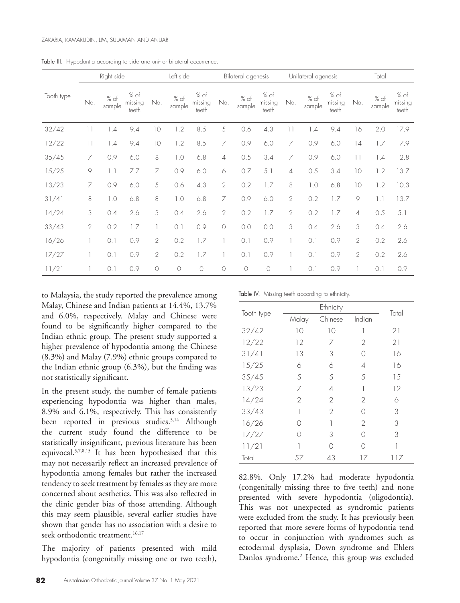|            | Right side      |                | Left side                |                | Bilateral agenesis |                          | Unilateral agenesis |                | Total                    |                 |                  |                          |                 |                       |                          |
|------------|-----------------|----------------|--------------------------|----------------|--------------------|--------------------------|---------------------|----------------|--------------------------|-----------------|------------------|--------------------------|-----------------|-----------------------|--------------------------|
| Tooth type | No.             | % of<br>sample | % of<br>missing<br>teeth | No.            | % of<br>sample     | % of<br>missing<br>teeth | No.                 | % of<br>sample | % of<br>missing<br>teeth | No.             | $%$ of<br>sample | % of<br>missing<br>teeth | No.             | % of<br>sample        | % of<br>missing<br>teeth |
| 32/42      | $\vert \vert$   | 1.4            | 9.4                      | 10             | 1.2                | 8.5                      | 5                   | 0.6            | 4.3                      | $\lceil \rceil$ | 1.4              | 9.4                      | 16              | 2.0                   | 17.9                     |
| 12/22      | $\overline{11}$ | 1.4            | 9.4                      | 10             | 1.2                | 8.5                      | $\overline{7}$      | 0.9            | 6.0                      | 7               | 0.9              | 6.0                      | 14              | 1.7                   | 17.9                     |
| 35/45      | 7               | 0.9            | 6.0                      | 8              | 1.0                | 6.8                      | $\varDelta$         | 0.5            | 3.4                      | $\overline{7}$  | 0.9              | 6.0                      | $\lceil \rceil$ | 1.4                   | 12.8                     |
| 15/25      | 9               | 1.1            | 7.7                      | 7              | 0.9                | 6.0                      | 6                   | 0.7            | 5.1                      | $\overline{4}$  | 0.5              | 3.4                      | 10              | 1.2                   | 13.7                     |
| 13/23      | 7               | 0.9            | 6.0                      | 5              | 0.6                | 4.3                      | $\mathbf{2}$        | 0.2            | 1.7                      | 8               | $\sim 0$         | 6.8                      | 10              | 1.2                   | 10.3                     |
| 31/41      | $\,8\,$         | $\sim 0$       | 6.8                      | 8              | $\sim$ 0.0         | 6.8                      | $\overline{7}$      | 0.9            | 6.0                      | $\overline{2}$  | 0.2              | 1.7                      | 9               | $\vert \, . \, \vert$ | 13.7                     |
| 14/24      | 3               | 0.4            | 2.6                      | 3              | 0.4                | 2.6                      | $\mathbf{2}$        | 0.2            | 1.7                      | $\overline{2}$  | 0.2              | 1.7                      | $\overline{4}$  | 0.5                   | 5.1                      |
| 33/43      | $\overline{2}$  | 0.2            | 1.7                      |                | 0.1                | 0.9                      | $\bigcirc$          | 0.0            | 0.0                      | 3               | 0.4              | 2.6                      | 3               | 0.4                   | 2.6                      |
| 16/26      | 1               | 0.1            | 0.9                      | $\overline{2}$ | 0.2                | 1.7                      |                     | 0.1            | 0.9                      |                 | 0.1              | 0.9                      | $\overline{2}$  | 0.2                   | 2.6                      |
| 17/27      | 1               | 0.1            | 0.9                      | $\overline{2}$ | 0.2                | 1.7                      |                     | 0.1            | 0.9                      |                 | 0.1              | 0.9                      | $\overline{2}$  | 0.2                   | 2.6                      |
| 11/21      |                 | 0.1            | 0.9                      | $\circ$        | $\circ$            | $\circ$                  | $\bigcirc$          | $\circ$        | $\circ$                  |                 | 0.1              | 0.9                      |                 | 0.1                   | 0.9                      |

Table III. Hypodontia according to side and uni- or bilateral occurrence.

to Malaysia, the study reported the prevalence among Malay, Chinese and Indian patients at 14.4%, 13.7% and 6.0%, respectively. Malay and Chinese were found to be significantly higher compared to the Indian ethnic group. The present study supported a higher prevalence of hypodontia among the Chinese (8.3%) and Malay (7.9%) ethnic groups compared to the Indian ethnic group (6.3%), but the finding was not statistically significant.

In the present study, the number of female patients experiencing hypodontia was higher than males, 8.9% and 6.1%, respectively. This has consistently been reported in previous studies.<sup>5,14</sup> Although the current study found the difference to be statistically insignificant, previous literature has been equivocal.<sup>5,7,8,15</sup> It has been hypothesised that this may not necessarily reflect an increased prevalence of hypodontia among females but rather the increased tendency to seek treatment by females as they are more concerned about aesthetics. This was also reflected in the clinic gender bias of those attending. Although this may seem plausible, several earlier studies have shown that gender has no association with a desire to seek orthodontic treatment.<sup>16,17</sup>

The majority of patients presented with mild hypodontia (congenitally missing one or two teeth),

Table IV. Missing teeth according to ethnicity.

|            |            | Total   |                |     |  |
|------------|------------|---------|----------------|-----|--|
| Tooth type | Malay      | Chinese | Indian         |     |  |
| 32/42      | 10         | 10      |                | 21  |  |
| 12/22      | 12         | 7       | 2              | 21  |  |
| 31/41      | 13         | 3       |                | 16  |  |
| 15/25      | 6          | 6       | 4              | 16  |  |
| 35/45      | 5          | 5       | 5              | 15  |  |
| 13/23      | 7          | 4       |                | 12  |  |
| 14/24      | 2          | 2       | 2              | 6   |  |
| 33/43      |            | 2       |                | 3   |  |
| 16/26      | $^{\circ}$ | 1       | $\overline{2}$ | 3   |  |
| 17/27      |            | 3       |                | 3   |  |
| 11/21      |            | ∩       |                |     |  |
| Total      | 57         | 43      | 17             | 117 |  |

82.8%. Only 17.2% had moderate hypodontia (congenitally missing three to five teeth) and none presented with severe hypodontia (oligodontia). This was not unexpected as syndromic patients were excluded from the study. It has previously been reported that more severe forms of hypodontia tend to occur in conjunction with syndromes such as ectodermal dysplasia, Down syndrome and Ehlers Danlos syndrome.<sup>2</sup> Hence, this group was excluded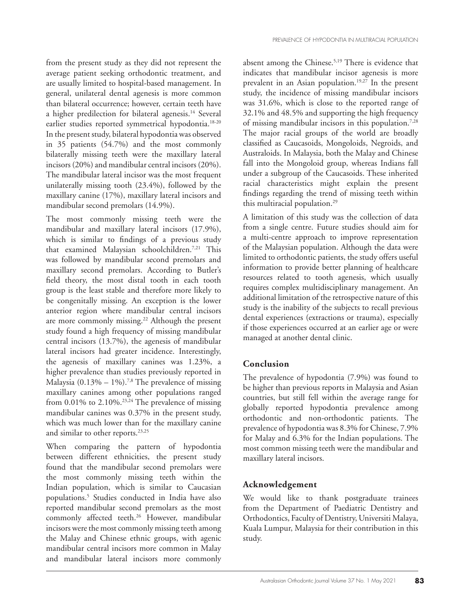from the present study as they did not represent the average patient seeking orthodontic treatment, and are usually limited to hospital-based management. In general, unilateral dental agenesis is more common than bilateral occurrence; however, certain teeth have a higher predilection for bilateral agenesis.14 Several earlier studies reported symmetrical hypodontia.<sup>18-20</sup> In the present study, bilateral hypodontia was observed in 35 patients (54.7%) and the most commonly bilaterally missing teeth were the maxillary lateral incisors (20%) and mandibular central incisors (20%). The mandibular lateral incisor was the most frequent unilaterally missing tooth (23.4%), followed by the maxillary canine (17%), maxillary lateral incisors and mandibular second premolars (14.9%).

The most commonly missing teeth were the mandibular and maxillary lateral incisors (17.9%), which is similar to findings of a previous study that examined Malaysian schoolchildren.7,21 This was followed by mandibular second premolars and maxillary second premolars. According to Butler's field theory, the most distal tooth in each tooth group is the least stable and therefore more likely to be congenitally missing. An exception is the lower anterior region where mandibular central incisors are more commonly missing.<sup>22</sup> Although the present study found a high frequency of missing mandibular central incisors (13.7%), the agenesis of mandibular lateral incisors had greater incidence. Interestingly, the agenesis of maxillary canines was 1.23%, a higher prevalence than studies previously reported in Malaysia  $(0.13\% - 1\%)$ .<sup>7,8</sup> The prevalence of missing maxillary canines among other populations ranged from 0.01% to 2.10%.<sup>23,24</sup> The prevalence of missing mandibular canines was 0.37% in the present study, which was much lower than for the maxillary canine and similar to other reports.<sup>23,25</sup>

When comparing the pattern of hypodontia between different ethnicities, the present study found that the mandibular second premolars were the most commonly missing teeth within the Indian population, which is similar to Caucasian populations.5 Studies conducted in India have also reported mandibular second premolars as the most commonly affected teeth.<sup>26</sup> However, mandibular incisors were the most commonly missing teeth among the Malay and Chinese ethnic groups, with agenic mandibular central incisors more common in Malay and mandibular lateral incisors more commonly

absent among the Chinese.<sup>5,19</sup> There is evidence that indicates that mandibular incisor agenesis is more prevalent in an Asian population.<sup>19,27</sup> In the present study, the incidence of missing mandibular incisors was 31.6%, which is close to the reported range of 32.1% and 48.5% and supporting the high frequency of missing mandibular incisors in this population.7,28 The major racial groups of the world are broadly classified as Caucasoids, Mongoloids, Negroids, and Australoids. In Malaysia, both the Malay and Chinese fall into the Mongoloid group, whereas Indians fall under a subgroup of the Caucasoids. These inherited racial characteristics might explain the present findings regarding the trend of missing teeth within this multiracial population.<sup>29</sup>

A limitation of this study was the collection of data from a single centre. Future studies should aim for a multi-centre approach to improve representation of the Malaysian population. Although the data were limited to orthodontic patients, the study offers useful information to provide better planning of healthcare resources related to tooth agenesis, which usually requires complex multidisciplinary management. An additional limitation of the retrospective nature of this study is the inability of the subjects to recall previous dental experiences (extractions or trauma), especially if those experiences occurred at an earlier age or were managed at another dental clinic.

# **Conclusion**

The prevalence of hypodontia (7.9%) was found to be higher than previous reports in Malaysia and Asian countries, but still fell within the average range for globally reported hypodontia prevalence among orthodontic and non-orthodontic patients. The prevalence of hypodontia was 8.3% for Chinese, 7.9% for Malay and 6.3% for the Indian populations. The most common missing teeth were the mandibular and maxillary lateral incisors.

# **Acknowledgement**

We would like to thank postgraduate trainees from the Department of Paediatric Dentistry and Orthodontics, Faculty of Dentistry, Universiti Malaya, Kuala Lumpur, Malaysia for their contribution in this study.